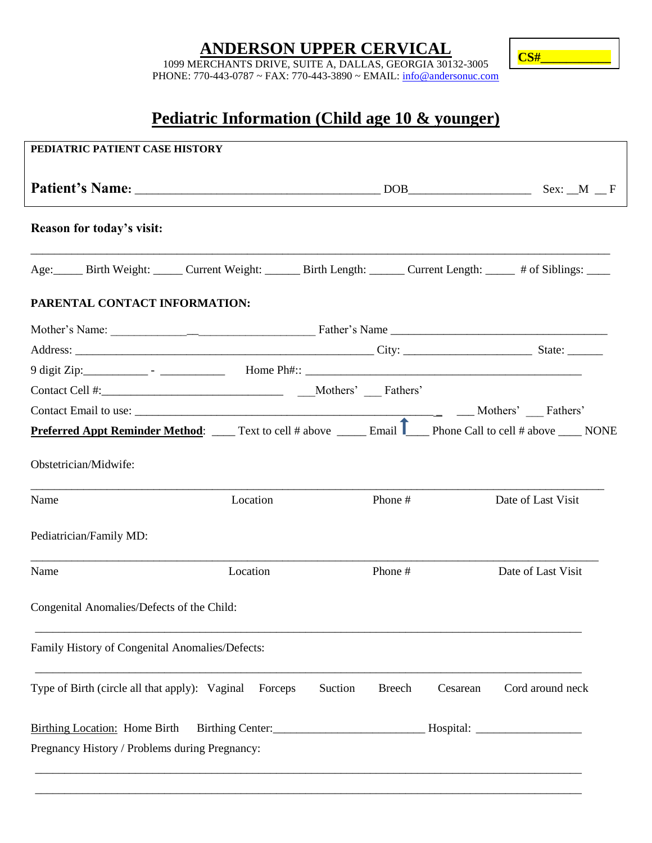# **ANDERSON UPPER CERVICAL**

**CS#\_\_\_\_\_\_\_\_\_\_\_**

1099 MERCHANTS DRIVE, SUITE A, DALLAS, GEORGIA 30132-3005 PHONE: 770-443-0787 ~ FAX: 770-443-3890 ~ EMAIL: info@andersonuc.com

# **Pediatric Information (Child age 10 & younger)**

| PEDIATRIC PATIENT CASE HISTORY                                                                                                                                                                         |          |         |                           |                    |
|--------------------------------------------------------------------------------------------------------------------------------------------------------------------------------------------------------|----------|---------|---------------------------|--------------------|
|                                                                                                                                                                                                        |          |         |                           |                    |
| Reason for today's visit:                                                                                                                                                                              |          |         |                           |                    |
| Age: Birth Weight: Current Weight: Birth Length: Current Length: # of Siblings:                                                                                                                        |          |         |                           |                    |
| PARENTAL CONTACT INFORMATION:                                                                                                                                                                          |          |         |                           |                    |
|                                                                                                                                                                                                        |          |         |                           |                    |
|                                                                                                                                                                                                        |          |         |                           |                    |
|                                                                                                                                                                                                        |          |         |                           |                    |
|                                                                                                                                                                                                        |          |         |                           |                    |
|                                                                                                                                                                                                        |          |         |                           |                    |
|                                                                                                                                                                                                        |          |         |                           |                    |
|                                                                                                                                                                                                        |          |         |                           |                    |
|                                                                                                                                                                                                        | Location | Phone # |                           | Date of Last Visit |
|                                                                                                                                                                                                        |          |         |                           |                    |
| <b>Preferred Appt Reminder Method:</b> _____ Text to cell # above ______ Email <b>T</b> ____ Phone Call to cell # above _____ NONE<br>Obstetrician/Midwife:<br>Name<br>Pediatrician/Family MD:<br>Name | Location | Phone # |                           | Date of Last Visit |
| Congenital Anomalies/Defects of the Child:                                                                                                                                                             |          |         |                           |                    |
| Family History of Congenital Anomalies/Defects:                                                                                                                                                        |          |         |                           |                    |
| Type of Birth (circle all that apply): Vaginal Forceps                                                                                                                                                 |          | Suction | <b>Breech</b><br>Cesarean | Cord around neck   |
| <b>Birthing Location:</b> Home Birth                                                                                                                                                                   |          |         |                           |                    |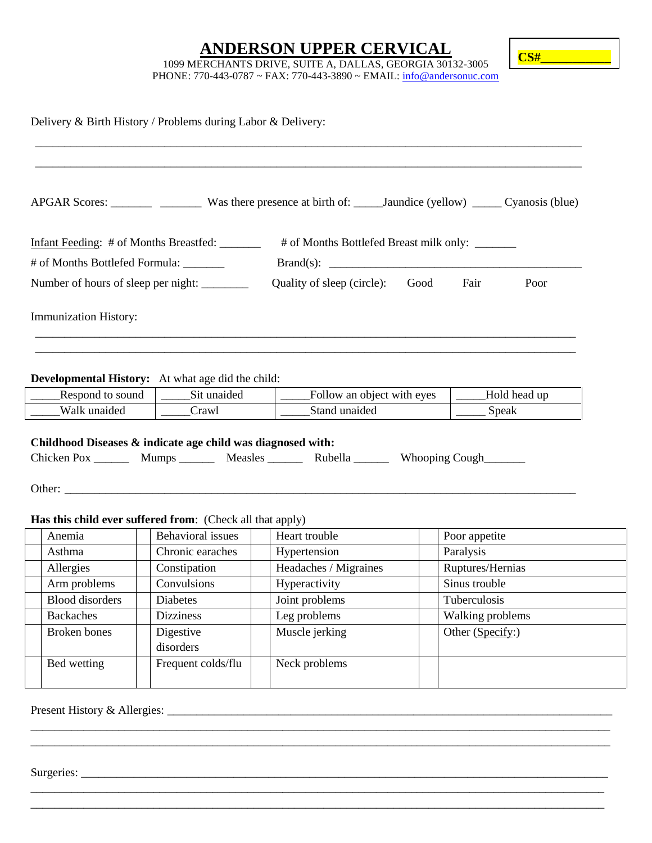#### **ANDERSON UPPER CERVICAL**



1099 MERCHANTS DRIVE, SUITE A, DALLAS, GEORGIA 30132-3005 PHONE: 770-443-0787 ~ FAX: 770-443-3890 ~ EMAIL: info@andersonuc.com

|                                                                | Delivery & Birth History / Problems during Labor & Delivery:            |                                                                                               |                                              |                  |  |  |
|----------------------------------------------------------------|-------------------------------------------------------------------------|-----------------------------------------------------------------------------------------------|----------------------------------------------|------------------|--|--|
|                                                                |                                                                         |                                                                                               |                                              |                  |  |  |
|                                                                |                                                                         | Infant Feeding: # of Months Breastfed: _______ # of Months Bottlefed Breast milk only: ______ |                                              |                  |  |  |
| # of Months Bottlefed Formula: _______                         |                                                                         |                                                                                               |                                              |                  |  |  |
|                                                                |                                                                         |                                                                                               | Quality of sleep (circle): Good Fair<br>Poor |                  |  |  |
| Immunization History:                                          |                                                                         |                                                                                               |                                              |                  |  |  |
|                                                                | <b>Developmental History:</b> At what age did the child:<br>Sit unaided | Follow an object with eyes                                                                    |                                              | Hold head up     |  |  |
| _____Respond to sound<br>Walk unaided<br>$\frac{C \cdot x}{x}$ |                                                                         | Stand unaided                                                                                 |                                              | Speak            |  |  |
|                                                                | Childhood Diseases & indicate age child was diagnosed with:             | Chicken Pox _________ Mumps _________ Measles _________ Rubella _________ Whooping Cough      |                                              |                  |  |  |
|                                                                | Has this child ever suffered from: (Check all that apply)               |                                                                                               |                                              |                  |  |  |
| Anemia                                                         | <b>Behavioral</b> issues                                                | Heart trouble                                                                                 | Poor appetite                                |                  |  |  |
| Asthma                                                         | Chronic earaches                                                        | Hypertension                                                                                  | Paralysis                                    |                  |  |  |
| Allergies                                                      | Constipation                                                            | Headaches / Migraines                                                                         | Ruptures/Hernias                             |                  |  |  |
| Arm problems                                                   | Convulsions                                                             | Hyperactivity                                                                                 | Sinus trouble                                |                  |  |  |
|                                                                | Diabetes                                                                | Joint problems                                                                                | Tuberculosis                                 |                  |  |  |
| <b>Blood</b> disorders                                         |                                                                         | Leg problems                                                                                  |                                              | Walking problems |  |  |
| <b>Backaches</b>                                               | <b>Dizziness</b>                                                        |                                                                                               |                                              |                  |  |  |
| Broken bones                                                   | Digestive<br>disorders                                                  | Muscle jerking                                                                                | Other (Specify:)                             |                  |  |  |

\_\_\_\_\_\_\_\_\_\_\_\_\_\_\_\_\_\_\_\_\_\_\_\_\_\_\_\_\_\_\_\_\_\_\_\_\_\_\_\_\_\_\_\_\_\_\_\_\_\_\_\_\_\_\_\_\_\_\_\_\_\_\_\_\_\_\_\_\_\_\_\_\_\_\_\_\_\_\_\_\_\_\_\_\_\_\_\_\_\_\_\_\_\_\_\_\_\_\_ \_\_\_\_\_\_\_\_\_\_\_\_\_\_\_\_\_\_\_\_\_\_\_\_\_\_\_\_\_\_\_\_\_\_\_\_\_\_\_\_\_\_\_\_\_\_\_\_\_\_\_\_\_\_\_\_\_\_\_\_\_\_\_\_\_\_\_\_\_\_\_\_\_\_\_\_\_\_\_\_\_\_\_\_\_\_\_\_\_\_\_\_\_\_\_\_\_\_\_

\_\_\_\_\_\_\_\_\_\_\_\_\_\_\_\_\_\_\_\_\_\_\_\_\_\_\_\_\_\_\_\_\_\_\_\_\_\_\_\_\_\_\_\_\_\_\_\_\_\_\_\_\_\_\_\_\_\_\_\_\_\_\_\_\_\_\_\_\_\_\_\_\_\_\_\_\_\_\_\_\_\_\_\_\_\_\_\_\_\_\_\_\_\_\_\_\_\_ \_\_\_\_\_\_\_\_\_\_\_\_\_\_\_\_\_\_\_\_\_\_\_\_\_\_\_\_\_\_\_\_\_\_\_\_\_\_\_\_\_\_\_\_\_\_\_\_\_\_\_\_\_\_\_\_\_\_\_\_\_\_\_\_\_\_\_\_\_\_\_\_\_\_\_\_\_\_\_\_\_\_\_\_\_\_\_\_\_\_\_\_\_\_\_\_\_\_

Surgeries: \_\_\_\_\_\_\_\_\_\_\_\_\_\_\_\_\_\_\_\_\_\_\_\_\_\_\_\_\_\_\_\_\_\_\_\_\_\_\_\_\_\_\_\_\_\_\_\_\_\_\_\_\_\_\_\_\_\_\_\_\_\_\_\_\_\_\_\_\_\_\_\_\_\_\_\_\_\_\_\_\_\_\_\_\_\_\_\_\_\_